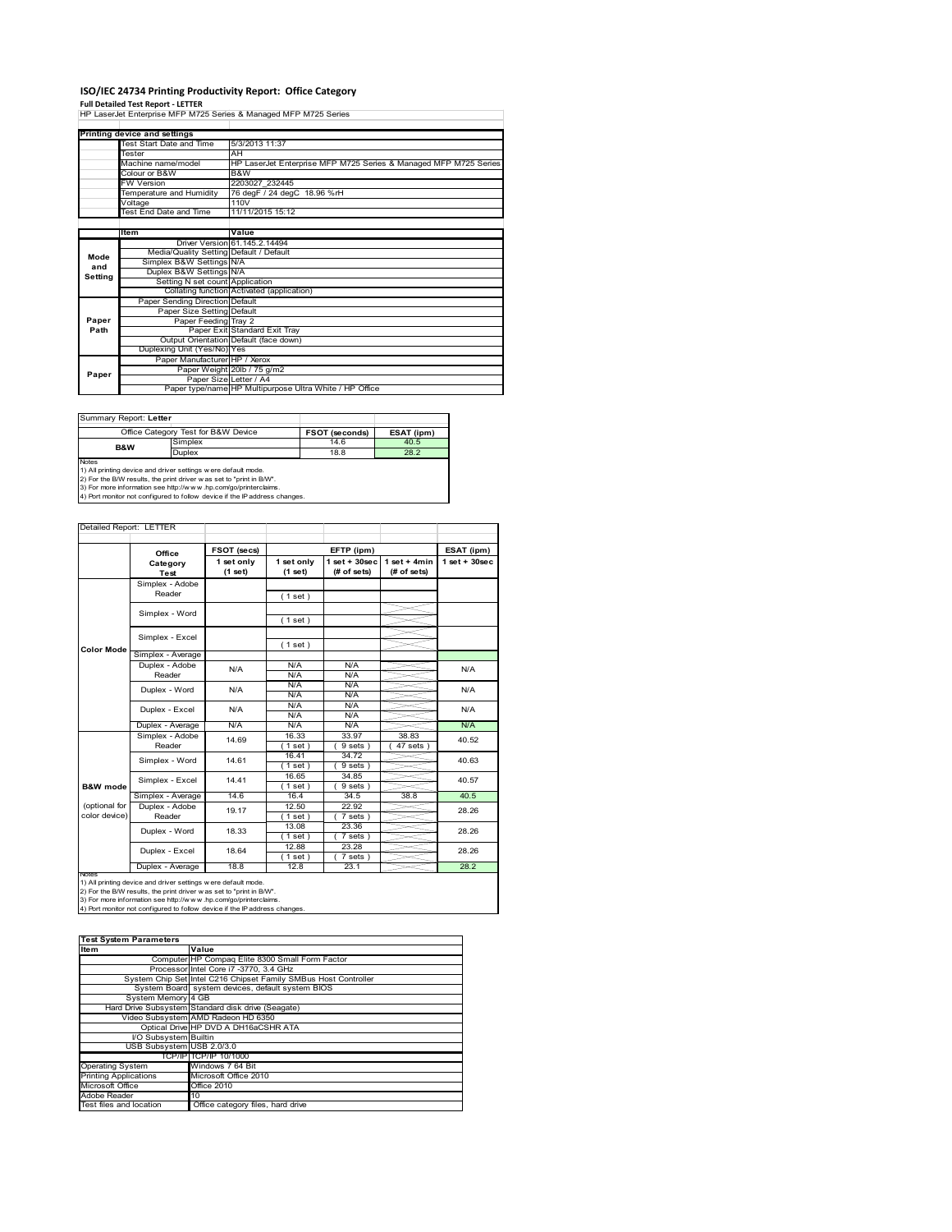# **ISO/IEC 24734 Printing Productivity Report: Office Category Full Detailed Test Report ‐ LETTER** HP LaserJet Enterprise MFP M725 Series & Managed MFP M725 Series

|         | Printing device and settings            |                                                                  |  |
|---------|-----------------------------------------|------------------------------------------------------------------|--|
|         | Test Start Date and Time                | 5/3/2013 11:37                                                   |  |
|         | Tester                                  | AH                                                               |  |
|         | Machine name/model                      | HP LaserJet Enterprise MFP M725 Series & Managed MFP M725 Series |  |
|         | Colour or B&W                           | B&W                                                              |  |
|         | <b>FW Version</b>                       | 2203027 232445                                                   |  |
|         | Temperature and Humidity                | 76 degF / 24 degC 18.96 %rH                                      |  |
|         | Voltage                                 | 110V                                                             |  |
|         | Test End Date and Time                  | 11/11/2015 15:12                                                 |  |
|         |                                         |                                                                  |  |
|         | Item                                    | Value                                                            |  |
|         |                                         | Driver Version 61.145.2.14494                                    |  |
| Mode    | Media/Quality Setting Default / Default |                                                                  |  |
| and     | Simplex B&W Settings N/A                |                                                                  |  |
| Setting | Duplex B&W Settings N/A                 |                                                                  |  |
|         | Setting N set count Application         |                                                                  |  |
|         |                                         | Collating function Activated (application)                       |  |
|         | Paper Sending Direction Default         |                                                                  |  |
|         | Paper Size Setting Default              |                                                                  |  |
| Paper   | Paper Feeding Tray 2                    |                                                                  |  |
| Path    |                                         | Paper Exit Standard Exit Tray                                    |  |
|         |                                         | Output Orientation Default (face down)                           |  |
|         | Duplexing Unit (Yes/No) Yes             |                                                                  |  |
|         | Paper Manufacturer HP / Xerox           |                                                                  |  |
| Paper   |                                         | Paper Weight 20lb / 75 g/m2                                      |  |
|         |                                         | Paper Size Letter / A4                                           |  |
|         |                                         | Paper type/name HP Multipurpose Ultra White / HP Office          |  |

| Summary Report: Letter |                                                                                                                                                                                                                                                                                       |                       |            |  |
|------------------------|---------------------------------------------------------------------------------------------------------------------------------------------------------------------------------------------------------------------------------------------------------------------------------------|-----------------------|------------|--|
|                        | Office Category Test for B&W Device                                                                                                                                                                                                                                                   | <b>FSOT (seconds)</b> | ESAT (ipm) |  |
| <b>B&amp;W</b>         | Simplex                                                                                                                                                                                                                                                                               | 14.6                  | 40.5       |  |
|                        | <b>Duplex</b>                                                                                                                                                                                                                                                                         | 18.8                  | 28.2       |  |
| <b>Notes</b>           | 1) All printing device and driver settings were default mode.<br>2) For the B/W results, the print driver was set to "print in B/W".<br>3) For more information see http://www.hp.com/go/printerclaims.<br>4) Port monitor not configured to follow device if the IP address changes. |                       |            |  |

| Detailed Report: LETTER        |                           |                       |                       |                                  |                                |                    |
|--------------------------------|---------------------------|-----------------------|-----------------------|----------------------------------|--------------------------------|--------------------|
|                                | Office                    | FSOT (secs)           |                       | EFTP (ipm)                       |                                | ESAT (ipm)         |
|                                | Category<br>Test          | 1 set only<br>(1 set) | 1 set only<br>(1 set) | $1$ set $+30$ sec<br>(# of sets) | $1$ set + 4min<br>$#$ of sets) | $1$ set + $30$ sec |
|                                | Simplex - Adobe<br>Reader |                       | (1 set)               |                                  |                                |                    |
|                                | Simplex - Word            |                       | (1 set)               |                                  |                                |                    |
| Color Mode                     | Simplex - Excel           |                       | (1 set)               |                                  |                                |                    |
|                                | Simplex - Average         |                       |                       |                                  |                                |                    |
|                                | Duplex - Adobe<br>Reader  | N/A                   | N/A<br>N/A            | N/A<br>N/A                       |                                | N/A                |
|                                | Duplex - Word             | N/A                   | N/A<br>N/A            | N/A<br>N/A                       |                                | N/A                |
|                                | Duplex - Excel            | N/A                   | N/A<br>N/A            | N/A<br>N/A                       |                                | N/A                |
|                                | Duplex - Average          | N/A                   | N/A                   | N/A                              |                                | N/A                |
|                                | Simplex - Adobe<br>Reader | 14.69                 | 16.33<br>(1 set)      | 33.97<br>9 sets                  | 38.83<br>47 sets               | 40.52              |
|                                | Simplex - Word            | 14.61                 | 16.41<br>$1$ set)     | 34.72<br>9 sets)                 |                                | 40.63              |
| <b>B&amp;W</b> mode            | Simplex - Excel           | 14.41                 | 16.65<br>(1 set)      | 34.85<br>9 sets)                 |                                | 40.57              |
|                                | Simplex - Average         | 14.6                  | 16.4                  | 34.5                             | 38.8                           | 40.5               |
| (optional for<br>color device) | Duplex - Adobe<br>Reader  | 19.17                 | 12.50<br>$1$ set      | 22.92<br>$7 sets$ )              |                                | 28.26              |
|                                | Duplex - Word             | 18.33                 | 13.08<br>(1 set)      | 23.36<br>7 sets)                 |                                | 28.26              |
|                                | Duplex - Excel            | 18.64                 | 12.88<br>$1$ set)     | 23.28<br>$7 sets$ )              |                                | 28.26              |
|                                | Duplex - Average          | 18.8                  | 12.8                  | 23.1                             |                                | 28.2               |

notes<br>1) All printing device and driver settings were default mode.<br>2) For the B/W results, the print driver was set to "print in B/W".<br>3) For more information see http://www.hp.com/go/printerclaims.<br>4) Por monitor not con

| <b>Test System Parameters</b> |                                                                 |  |  |  |
|-------------------------------|-----------------------------------------------------------------|--|--|--|
| Item                          | Value                                                           |  |  |  |
|                               | Computer HP Compaq Elite 8300 Small Form Factor                 |  |  |  |
|                               | Processor Intel Core i7 -3770, 3.4 GHz                          |  |  |  |
|                               | System Chip Set Intel C216 Chipset Family SMBus Host Controller |  |  |  |
|                               | System Board system devices, default system BIOS                |  |  |  |
| System Memory 4 GB            |                                                                 |  |  |  |
|                               | Hard Drive Subsystem Standard disk drive (Seagate)              |  |  |  |
|                               | Video Subsystem AMD Radeon HD 6350                              |  |  |  |
|                               | Optical Drive HP DVD A DH16aCSHR ATA                            |  |  |  |
| I/O Subsystem Builtin         |                                                                 |  |  |  |
| USB Subsystem USB 2.0/3.0     |                                                                 |  |  |  |
|                               | TCP/IP TCP/IP 10/1000                                           |  |  |  |
| <b>Operating System</b>       | Windows 7 64 Bit                                                |  |  |  |
| <b>Printing Applications</b>  | Microsoft Office 2010                                           |  |  |  |
| Microsoft Office              | Office 2010                                                     |  |  |  |
| Adobe Reader                  | 10                                                              |  |  |  |
| Test files and location       | Office category files, hard drive                               |  |  |  |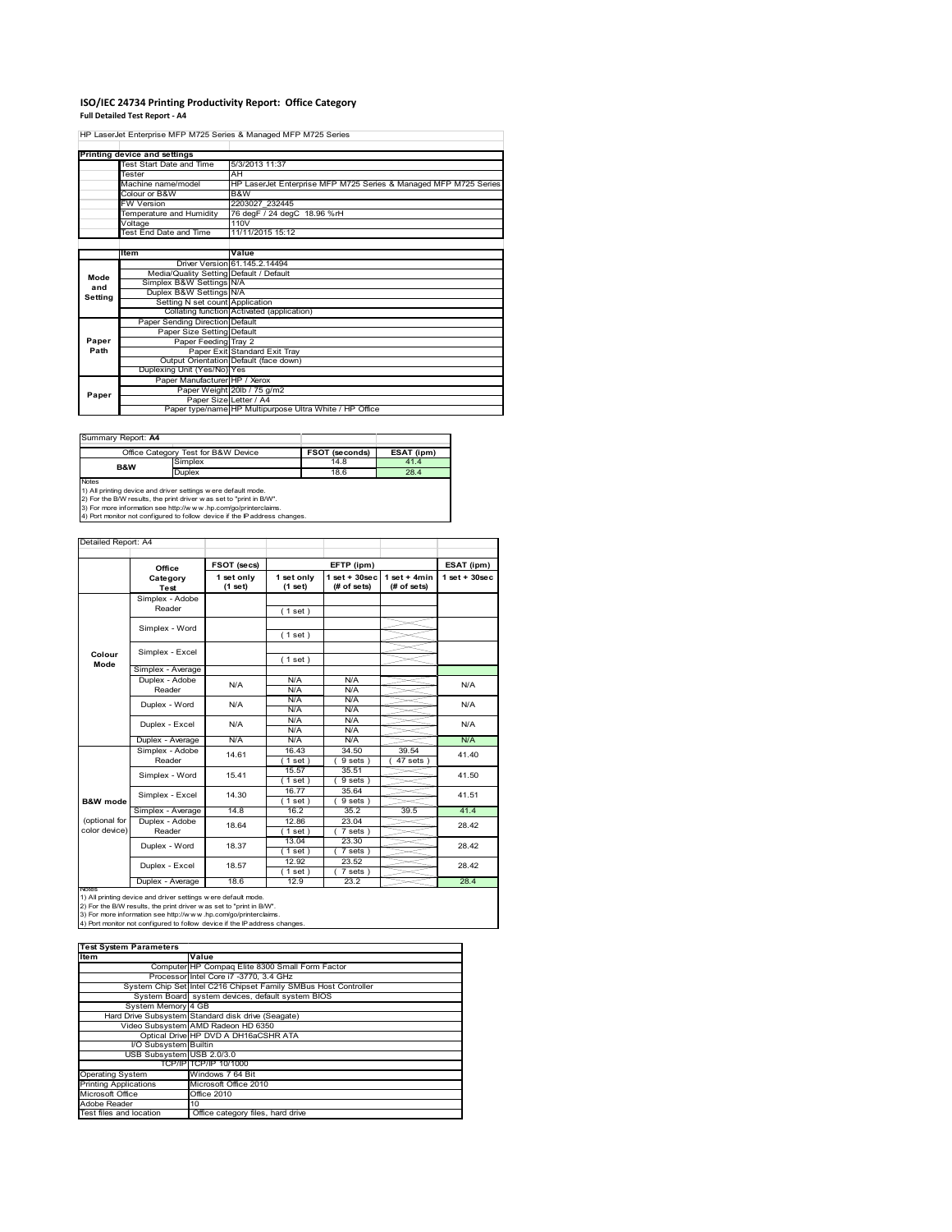## **ISO/IEC 24734 Printing Productivity Report: Office Category**

**Full Detailed Test Report ‐ A4**

HP LaserJet Enterprise MFP M725 Series & Managed MFP M725 Series

|         | Printing device and settings            |                                                                  |
|---------|-----------------------------------------|------------------------------------------------------------------|
|         | Test Start Date and Time                | 5/3/2013 11:37                                                   |
|         | Tester                                  | AH                                                               |
|         | Machine name/model                      | HP LaserJet Enterprise MFP M725 Series & Managed MFP M725 Series |
|         | Colour or B&W                           | B&W                                                              |
|         | <b>FW Version</b>                       | 2203027 232445                                                   |
|         | Temperature and Humidity                | 76 degF / 24 degC 18.96 %rH                                      |
|         | Voltage                                 | 110V                                                             |
|         | <b>Test End Date and Time</b>           | 11/11/2015 15:12                                                 |
|         |                                         |                                                                  |
|         | <b>Item</b>                             | Value                                                            |
|         |                                         | Driver Version 61.145.2.14494                                    |
| Mode    | Media/Quality Setting Default / Default |                                                                  |
| and     | Simplex B&W Settings N/A                |                                                                  |
| Setting | Duplex B&W Settings N/A                 |                                                                  |
|         | Setting N set count Application         |                                                                  |
|         |                                         | Collating function Activated (application)                       |
|         | Paper Sending Direction Default         |                                                                  |
|         | Paper Size Setting Default              |                                                                  |
| Paper   | Paper Feeding Tray 2                    |                                                                  |
| Path    |                                         | Paper Exit Standard Exit Tray                                    |
|         |                                         | Output Orientation Default (face down)                           |
|         | Duplexing Unit (Yes/No) Yes             |                                                                  |
|         | Paper Manufacturer HP / Xerox           |                                                                  |
| Paper   |                                         | Paper Weight 20lb / 75 g/m2                                      |
|         |                                         | Paper Size Letter / A4                                           |
|         |                                         | Paper type/name HP Multipurpose Ultra White / HP Office          |

Summary Report: **A4**

| I Juli III KAI VII NGUU IL. PII T                                   |                                     |                       |            |  |  |
|---------------------------------------------------------------------|-------------------------------------|-----------------------|------------|--|--|
|                                                                     | Office Category Test for B&W Device | <b>FSOT (seconds)</b> | ESAT (ipm) |  |  |
| <b>B&amp;W</b>                                                      | Simplex                             | 14.8                  | 41.4       |  |  |
|                                                                     | <b>Duplex</b>                       | 18.6                  | 28.4       |  |  |
| <b>Notes</b>                                                        |                                     |                       |            |  |  |
| 1) All printing device and driver settings w ere default mode.      |                                     |                       |            |  |  |
| 2) For the B/W results, the print driver was set to "print in B/W". |                                     |                       |            |  |  |

2) For the B/W results, the print driver w as set to "print in B/W".<br>3) For more information see http://w w w.hp.com/go/printerclaims.<br>4) Port monitor not configured to follow device if the IP address changes.

| Detailed Report: A4            |                           |                       |                       |                                 |                                |                    |
|--------------------------------|---------------------------|-----------------------|-----------------------|---------------------------------|--------------------------------|--------------------|
|                                | Office                    | FSOT (secs)           |                       | EFTP (ipm)                      |                                | ESAT (ipm)         |
|                                | Category<br><b>Test</b>   | 1 set only<br>(1 set) | 1 set only<br>(1 set) | $1 set + 30 sec$<br>(# of sets) | $1 set + 4 min$<br>(# of sets) | $1$ set + $30$ sec |
|                                | Simplex - Adobe<br>Reader |                       | (1 set)               |                                 |                                |                    |
|                                | Simplex - Word            |                       | (1 set)               |                                 |                                |                    |
| Colour                         | Simplex - Excel           |                       |                       |                                 |                                |                    |
| Mode                           | Simplex - Average         |                       | (1 set)               |                                 |                                |                    |
|                                | Duplex - Adobe<br>Reader  | N/A                   | N/A<br>N/A            | N/A<br>N/A                      |                                | N/A                |
|                                | Duplex - Word             | N/A                   | N/A<br>N/A            | N/A<br>N/A                      |                                | N/A                |
|                                | Duplex - Excel            | N/A                   | N/A<br>N/A            | N/A<br>N/A                      |                                | N/A                |
|                                | Duplex - Average          | N/A                   | N/A                   | N/A                             |                                | N/A                |
|                                | Simplex - Adobe<br>Reader | 14.61                 | 16.43<br>$1$ set)     | 34.50<br>9 sets)                | 39.54<br>$47$ sets             | 41.40              |
|                                | Simplex - Word            | 15.41                 | 15.57<br>$1$ set)     | 35.51<br>9 sets)                |                                | 41.50              |
| <b>B&amp;W</b> mode            | Simplex - Excel           | 14.30                 | 16.77<br>$1$ set)     | 35.64<br>9 sets)                |                                | 41.51              |
|                                | Simplex - Average         | 14.8                  | 16.2                  | 35.2                            | 39.5                           | 41.4               |
| (optional for<br>color device) | Duplex - Adobe<br>Reader  | 18.64                 | 12.86<br>(1 set)      | 23.04<br>7 sets)                |                                | 28.42              |
|                                | Duplex - Word             | 18.37                 | 13.04<br>(1 set)      | 23.30<br>7 sets)                |                                | 28.42              |
|                                | Duplex - Excel            | 18.57                 | 12.92<br>$1$ set      | 23.52<br>$\overline{7}$ sets)   |                                | 28.42              |
|                                | Duplex - Average          | 18.6                  | 12.9                  | 23.2                            |                                | 28.4               |

nates<br>1) All printing device and driver settings were default mode.<br>2) For the B/W results, the print driver was set to "print in B/W".<br>3) For more information see http://www.hp.com/go/printerclaims.<br>4) Por monitor not con

| <b>Test System Parameters</b> |                                                                 |  |  |  |  |
|-------------------------------|-----------------------------------------------------------------|--|--|--|--|
| Item                          | Value                                                           |  |  |  |  |
|                               | Computer HP Compaq Elite 8300 Small Form Factor                 |  |  |  |  |
|                               | Processor Intel Core i7 -3770, 3.4 GHz                          |  |  |  |  |
|                               | System Chip Set Intel C216 Chipset Family SMBus Host Controller |  |  |  |  |
|                               | System Board system devices, default system BIOS                |  |  |  |  |
| System Memory 4 GB            |                                                                 |  |  |  |  |
|                               | Hard Drive Subsystem Standard disk drive (Seagate)              |  |  |  |  |
|                               | Video Subsystem AMD Radeon HD 6350                              |  |  |  |  |
|                               | Optical Drive HP DVD A DH16aCSHR ATA                            |  |  |  |  |
| I/O Subsystem Builtin         |                                                                 |  |  |  |  |
| USB Subsystem USB 2.0/3.0     |                                                                 |  |  |  |  |
|                               | TCP/IP TCP/IP 10/1000                                           |  |  |  |  |
| <b>Operating System</b>       | Windows 7 64 Bit                                                |  |  |  |  |
| <b>Printing Applications</b>  | Microsoft Office 2010                                           |  |  |  |  |
| Microsoft Office              | Office 2010                                                     |  |  |  |  |
| Adobe Reader                  | 10                                                              |  |  |  |  |
| Test files and location       | Office category files, hard drive                               |  |  |  |  |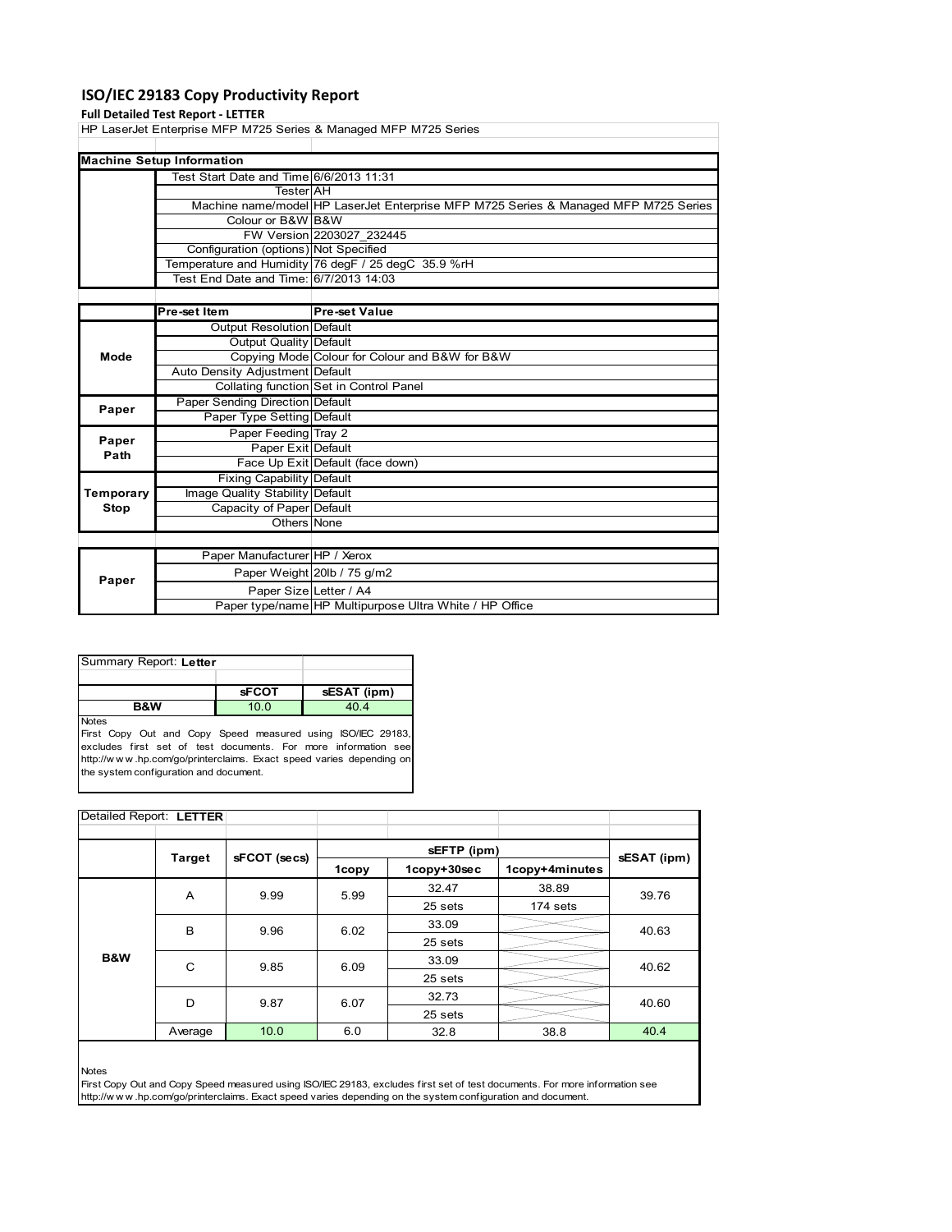## **ISO/IEC 29183 Copy Productivity Report**

#### **Full Detailed Test Report ‐ LETTER**

HP LaserJet Enterprise MFP M725 Series & Managed MFP M725 Series

| <b>Machine Setup Information</b>        |                                                                                     |  |  |  |  |
|-----------------------------------------|-------------------------------------------------------------------------------------|--|--|--|--|
| Test Start Date and Time 6/6/2013 11:31 |                                                                                     |  |  |  |  |
| <b>Tester</b> AH                        |                                                                                     |  |  |  |  |
|                                         | Machine name/model HP LaserJet Enterprise MFP M725 Series & Managed MFP M725 Series |  |  |  |  |
| Colour or B&W B&W                       |                                                                                     |  |  |  |  |
|                                         | FW Version 2203027 232445                                                           |  |  |  |  |
| Configuration (options) Not Specified   |                                                                                     |  |  |  |  |
|                                         | Temperature and Humidity 76 degF / 25 degC 35.9 %rH                                 |  |  |  |  |
| Test End Date and Time: 6/7/2013 14:03  |                                                                                     |  |  |  |  |

|           | Pre-set Item                     | <b>Pre-set Value</b>                                    |
|-----------|----------------------------------|---------------------------------------------------------|
|           | Output Resolution Default        |                                                         |
|           | Output Quality Default           |                                                         |
| Mode      |                                  | Copying Mode Colour for Colour and B&W for B&W          |
|           | Auto Density Adjustment Default  |                                                         |
|           |                                  | Collating function Set in Control Panel                 |
| Paper     | Paper Sending Direction Default  |                                                         |
|           | Paper Type Setting Default       |                                                         |
| Paper     | Paper Feeding Tray 2             |                                                         |
| Path      | Paper Exit Default               |                                                         |
|           |                                  | Face Up Exit Default (face down)                        |
|           | <b>Fixing Capability Default</b> |                                                         |
| Temporary | Image Quality Stability Default  |                                                         |
| Stop      | Capacity of Paper Default        |                                                         |
|           | Others None                      |                                                         |
|           |                                  |                                                         |
|           | Paper Manufacturer HP / Xerox    |                                                         |
| Paper     |                                  | Paper Weight 20lb / 75 g/m2                             |
|           | Paper Size Letter / A4           |                                                         |
|           |                                  | Paper type/name HP Multipurpose Ultra White / HP Office |

| Summary Report: Letter |              |             |  |  |
|------------------------|--------------|-------------|--|--|
|                        |              |             |  |  |
|                        | <b>sFCOT</b> | sESAT (ipm) |  |  |
| <b>B&amp;W</b>         | 10.0         | 40.4        |  |  |
| <b>Notes</b>           |              |             |  |  |

First Copy Out and Copy Speed measured using ISO/IEC 29183, excludes first set of test documents. For more information see http://w w w .hp.com/go/printerclaims. Exact speed varies depending on the system configuration and document.

| Detailed Report: LETTER |         |              |       |             |                |             |  |
|-------------------------|---------|--------------|-------|-------------|----------------|-------------|--|
|                         |         |              |       |             |                |             |  |
|                         | Target  | sFCOT (secs) |       | sEFTP (ipm) |                |             |  |
|                         |         |              | 1copy | 1copy+30sec | 1copy+4minutes | sESAT (ipm) |  |
|                         | A       | 9.99         | 5.99  | 32.47       | 38.89          | 39.76       |  |
|                         |         |              |       | 25 sets     | 174 sets       |             |  |
|                         | B       | 9.96         | 6.02  | 33.09       |                | 40.63       |  |
|                         |         |              |       | 25 sets     |                |             |  |
| B&W                     | C       | 9.85         | 6.09  | 33.09       |                | 40.62       |  |
|                         |         |              |       | 25 sets     |                |             |  |
|                         | D       | 9.87         | 6.07  | 32.73       |                | 40.60       |  |
|                         |         |              |       | 25 sets     |                |             |  |
|                         | Average | 10.0         | 6.0   | 32.8        | 38.8           | 40.4        |  |

Notes

First Copy Out and Copy Speed measured using ISO/IEC 29183, excludes first set of test documents. For more information see http://w w w .hp.com/go/printerclaims. Exact speed varies depending on the system configuration and document.